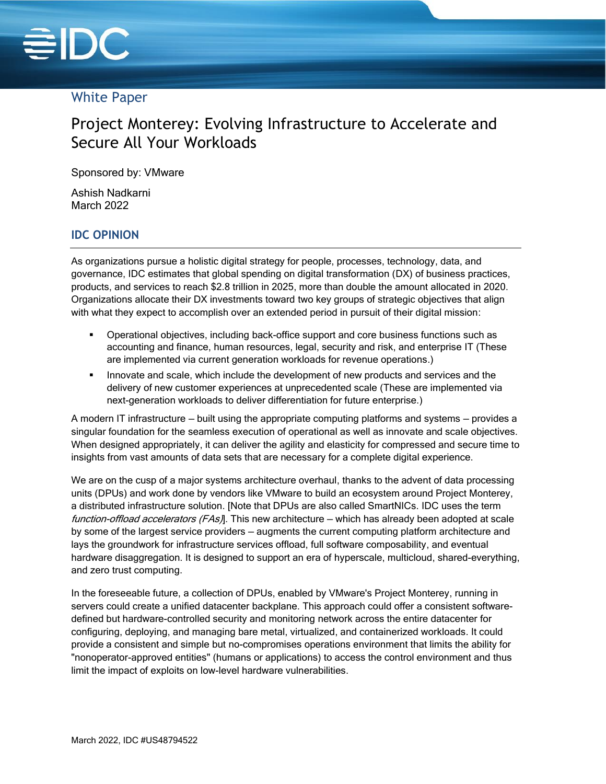

# White Paper

# Project Monterey: Evolving Infrastructure to Accelerate and Secure All Your Workloads

Sponsored by: VMware

Ashish Nadkarni March 2022

### **IDC OPINION**

As organizations pursue a holistic digital strategy for people, processes, technology, data, and governance, IDC estimates that global spending on digital transformation (DX) of business practices, products, and services to reach \$2.8 trillion in 2025, more than double the amount allocated in 2020. Organizations allocate their DX investments toward two key groups of strategic objectives that align with what they expect to accomplish over an extended period in pursuit of their digital mission:

- Operational objectives, including back-office support and core business functions such as accounting and finance, human resources, legal, security and risk, and enterprise IT (These are implemented via current generation workloads for revenue operations.)
- **.** Innovate and scale, which include the development of new products and services and the delivery of new customer experiences at unprecedented scale (These are implemented via next-generation workloads to deliver differentiation for future enterprise.)

A modern IT infrastructure — built using the appropriate computing platforms and systems — provides a singular foundation for the seamless execution of operational as well as innovate and scale objectives. When designed appropriately, it can deliver the agility and elasticity for compressed and secure time to insights from vast amounts of data sets that are necessary for a complete digital experience.

We are on the cusp of a major systems architecture overhaul, thanks to the advent of data processing units (DPUs) and work done by vendors like VMware to build an ecosystem around Project Monterey, a distributed infrastructure solution. [Note that DPUs are also called SmartNICs. IDC uses the term function-offload accelerators (FAs). This new architecture – which has already been adopted at scale by some of the largest service providers — augments the current computing platform architecture and lays the groundwork for infrastructure services offload, full software composability, and eventual hardware disaggregation. It is designed to support an era of hyperscale, multicloud, shared-everything, and zero trust computing.

In the foreseeable future, a collection of DPUs, enabled by VMware's Project Monterey, running in servers could create a unified datacenter backplane. This approach could offer a consistent softwaredefined but hardware-controlled security and monitoring network across the entire datacenter for configuring, deploying, and managing bare metal, virtualized, and containerized workloads. It could provide a consistent and simple but no-compromises operations environment that limits the ability for "nonoperator-approved entities" (humans or applications) to access the control environment and thus limit the impact of exploits on low-level hardware vulnerabilities.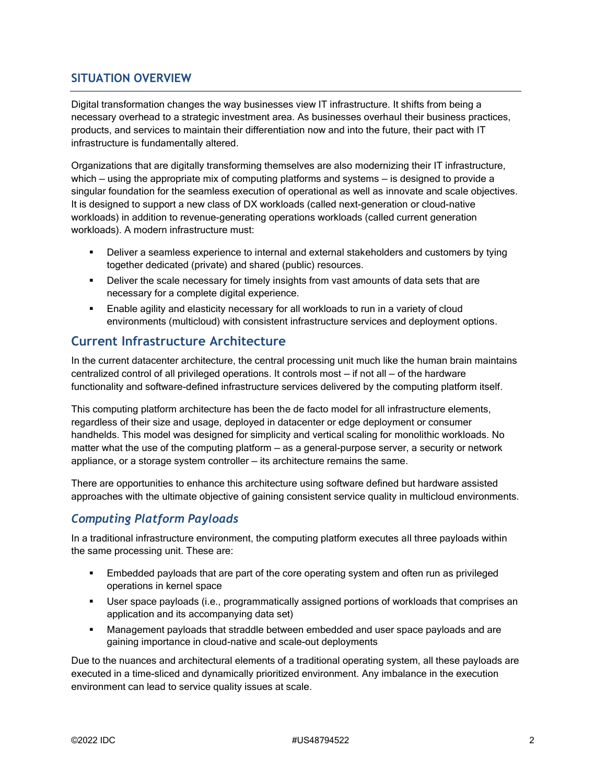#### **SITUATION OVERVIEW**

Digital transformation changes the way businesses view IT infrastructure. It shifts from being a necessary overhead to a strategic investment area. As businesses overhaul their business practices, products, and services to maintain their differentiation now and into the future, their pact with IT infrastructure is fundamentally altered.

Organizations that are digitally transforming themselves are also modernizing their IT infrastructure, which — using the appropriate mix of computing platforms and systems — is designed to provide a singular foundation for the seamless execution of operational as well as innovate and scale objectives. It is designed to support a new class of DX workloads (called next-generation or cloud-native workloads) in addition to revenue-generating operations workloads (called current generation workloads). A modern infrastructure must:

- **•** Deliver a seamless experience to internal and external stakeholders and customers by tying together dedicated (private) and shared (public) resources.
- **•** Deliver the scale necessary for timely insights from vast amounts of data sets that are necessary for a complete digital experience.
- **Enable agility and elasticity necessary for all workloads to run in a variety of cloud** environments (multicloud) with consistent infrastructure services and deployment options.

#### **Current Infrastructure Architecture**

In the current datacenter architecture, the central processing unit much like the human brain maintains centralized control of all privileged operations. It controls most — if not all — of the hardware functionality and software-defined infrastructure services delivered by the computing platform itself.

This computing platform architecture has been the de facto model for all infrastructure elements, regardless of their size and usage, deployed in datacenter or edge deployment or consumer handhelds. This model was designed for simplicity and vertical scaling for monolithic workloads. No matter what the use of the computing platform — as a general-purpose server, a security or network appliance, or a storage system controller — its architecture remains the same.

There are opportunities to enhance this architecture using software defined but hardware assisted approaches with the ultimate objective of gaining consistent service quality in multicloud environments.

#### *Computing Platform Payloads*

In a traditional infrastructure environment, the computing platform executes all three payloads within the same processing unit. These are:

- **Embedded payloads that are part of the core operating system and often run as privileged** operations in kernel space
- **■** User space payloads (i.e., programmatically assigned portions of workloads that comprises an application and its accompanying data set)
- **■** Management payloads that straddle between embedded and user space payloads and are gaining importance in cloud-native and scale-out deployments

Due to the nuances and architectural elements of a traditional operating system, all these payloads are executed in a time-sliced and dynamically prioritized environment. Any imbalance in the execution environment can lead to service quality issues at scale.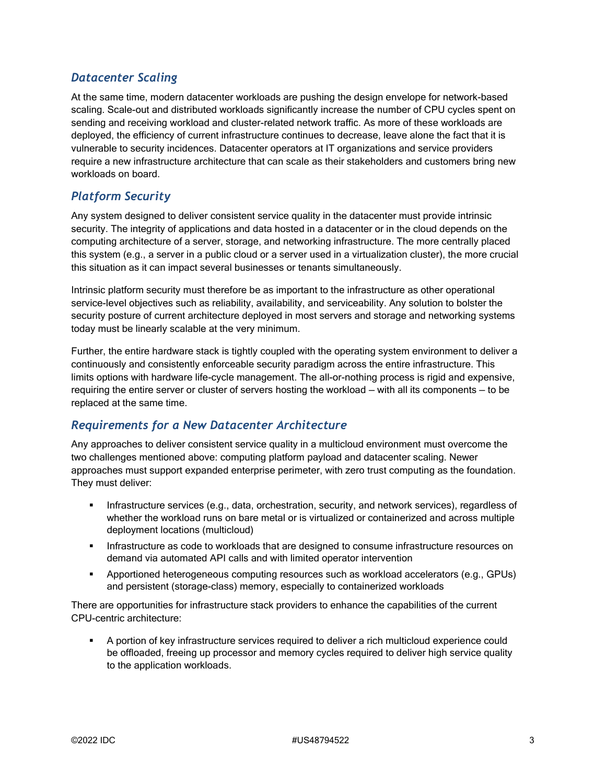#### *Datacenter Scaling*

At the same time, modern datacenter workloads are pushing the design envelope for network-based scaling. Scale-out and distributed workloads significantly increase the number of CPU cycles spent on sending and receiving workload and cluster-related network traffic. As more of these workloads are deployed, the efficiency of current infrastructure continues to decrease, leave alone the fact that it is vulnerable to security incidences. Datacenter operators at IT organizations and service providers require a new infrastructure architecture that can scale as their stakeholders and customers bring new workloads on board.

#### *Platform Security*

Any system designed to deliver consistent service quality in the datacenter must provide intrinsic security. The integrity of applications and data hosted in a datacenter or in the cloud depends on the computing architecture of a server, storage, and networking infrastructure. The more centrally placed this system (e.g., a server in a public cloud or a server used in a virtualization cluster), the more crucial this situation as it can impact several businesses or tenants simultaneously.

Intrinsic platform security must therefore be as important to the infrastructure as other operational service-level objectives such as reliability, availability, and serviceability. Any solution to bolster the security posture of current architecture deployed in most servers and storage and networking systems today must be linearly scalable at the very minimum.

Further, the entire hardware stack is tightly coupled with the operating system environment to deliver a continuously and consistently enforceable security paradigm across the entire infrastructure. This limits options with hardware life-cycle management. The all-or-nothing process is rigid and expensive, requiring the entire server or cluster of servers hosting the workload — with all its components — to be replaced at the same time.

#### *Requirements for a New Datacenter Architecture*

Any approaches to deliver consistent service quality in a multicloud environment must overcome the two challenges mentioned above: computing platform payload and datacenter scaling. Newer approaches must support expanded enterprise perimeter, with zero trust computing as the foundation. They must deliver:

- **·** Infrastructure services (e.g., data, orchestration, security, and network services), regardless of whether the workload runs on bare metal or is virtualized or containerized and across multiple deployment locations (multicloud)
- **Infrastructure as code to workloads that are designed to consume infrastructure resources on** demand via automated API calls and with limited operator intervention
- Apportioned heterogeneous computing resources such as workload accelerators (e.g., GPUs) and persistent (storage-class) memory, especially to containerized workloads

There are opportunities for infrastructure stack providers to enhance the capabilities of the current CPU-centric architecture:

A portion of key infrastructure services required to deliver a rich multicloud experience could be offloaded, freeing up processor and memory cycles required to deliver high service quality to the application workloads.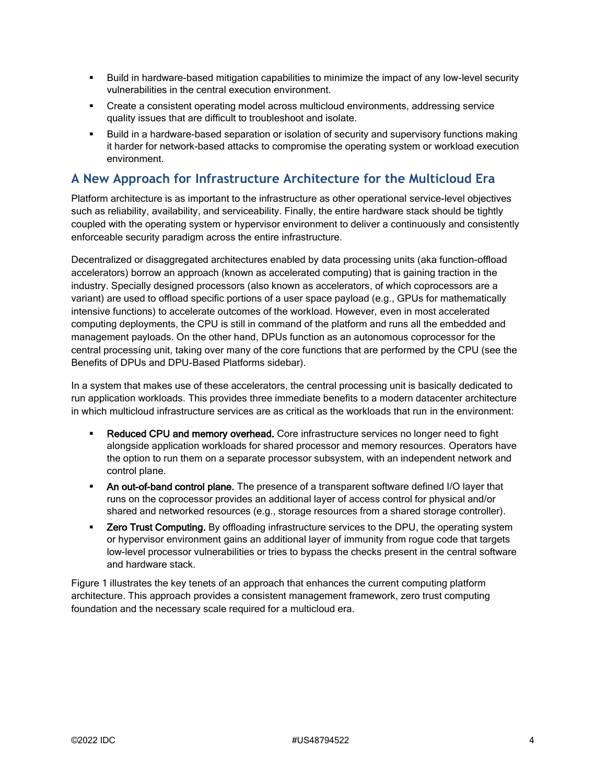- Build in hardware-based mitigation capabilities to minimize the impact of any low-level security vulnerabilities in the central execution environment.
- Create a consistent operating model across multicloud environments, addressing service quality issues that are difficult to troubleshoot and isolate.
- Build in a hardware-based separation or isolation of security and supervisory functions making it harder for network-based attacks to compromise the operating system or workload execution environment.

# **A New Approach for Infrastructure Architecture for the Multicloud Era**

Platform architecture is as important to the infrastructure as other operational service-level objectives such as reliability, availability, and serviceability. Finally, the entire hardware stack should be tightly coupled with the operating system or hypervisor environment to deliver a continuously and consistently enforceable security paradigm across the entire infrastructure.

Decentralized or disaggregated architectures enabled by data processing units (aka function-offload accelerators) borrow an approach (known as accelerated computing) that is gaining traction in the industry. Specially designed processors (also known as accelerators, of which coprocessors are a variant) are used to offload specific portions of a user space payload (e.g., GPUs for mathematically intensive functions) to accelerate outcomes of the workload. However, even in most accelerated computing deployments, the CPU is still in command of the platform and runs all the embedded and management payloads. On the other hand, DPUs function as an autonomous coprocessor for the central processing unit, taking over many of the core functions that are performed by the CPU (see the Benefits of DPUs and DPU-Based Platforms sidebar).

In a system that makes use of these accelerators, the central processing unit is basically dedicated to run application workloads. This provides three immediate benefits to a modern datacenter architecture in which multicloud infrastructure services are as critical as the workloads that run in the environment:

- **Reduced CPU and memory overhead.** Core infrastructure services no longer need to fight alongside application workloads for shared processor and memory resources. Operators have the option to run them on a separate processor subsystem, with an independent network and control plane.
- **An out-of-band control plane.** The presence of a transparent software defined I/O layer that runs on the coprocessor provides an additional layer of access control for physical and/or shared and networked resources (e.g., storage resources from a shared storage controller).
- **EXEL TRUST 2 EXELCOMPUTE:** By offloading infrastructure services to the DPU, the operating system or hypervisor environment gains an additional layer of immunity from rogue code that targets low-level processor vulnerabilities or tries to bypass the checks present in the central software and hardware stack.

Figure 1 illustrates the key tenets of an approach that enhances the current computing platform architecture. This approach provides a consistent management framework, zero trust computing foundation and the necessary scale required for a multicloud era.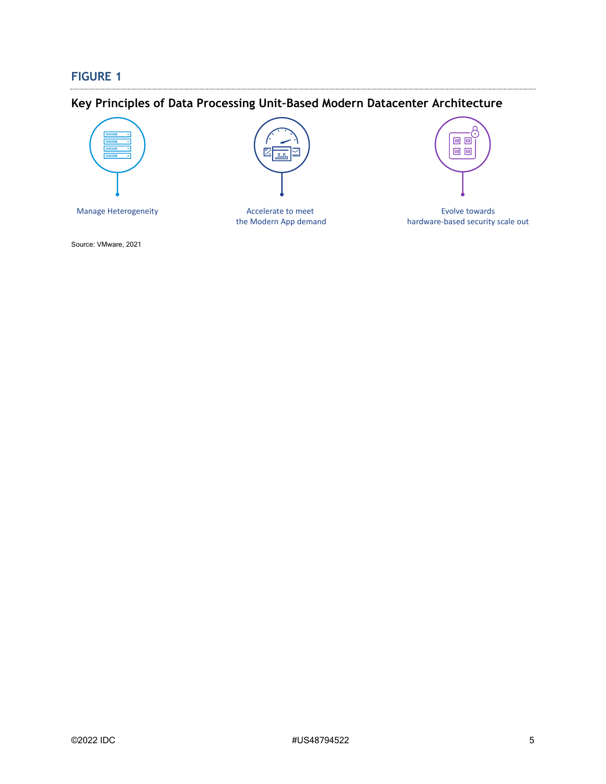#### **FIGURE 1**

# **Key Principles of Data Processing Unit–Based Modern Datacenter Architecture**



F. .<br>Dolla

Manage Heterogeneity **Evolve to Evolve towards** Accelerate to meet **Evolve towards** Evolve towards Accelerate to meet the Modern App demand



hardware-based security scale out

Source: VMware, 2021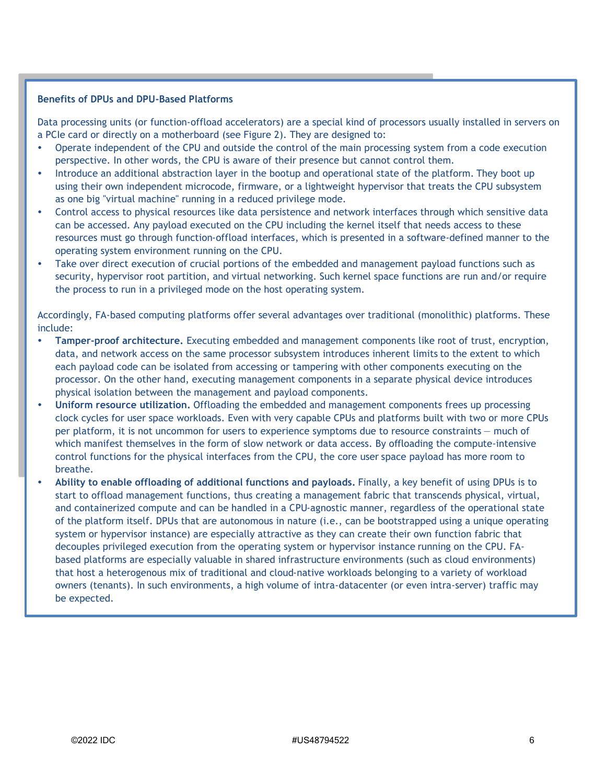#### **Benefits of DPUs and DPU-Based Platforms**

Data processing units (or function-offload accelerators) are a special kind of processors usually installed in servers on a PCIe card or directly on a motherboard (see Figure 2). They are designed to:

- Operate independent of the CPU and outside the control of the main processing system from a code execution perspective. In other words, the CPU is aware of their presence but cannot control them.
- Introduce an additional abstraction layer in the bootup and operational state of the platform. They boot up using their own independent microcode, firmware, or a lightweight hypervisor that treats the CPU subsystem as one big "virtual machine" running in a reduced privilege mode.
- Control access to physical resources like data persistence and network interfaces through which sensitive data can be accessed. Any payload executed on the CPU including the kernel itself that needs access to these resources must go through function-offload interfaces, which is presented in a software-defined manner to the operating system environment running on the CPU.
- Take over direct execution of crucial portions of the embedded and management payload functions such as security, hypervisor root partition, and virtual networking. Such kernel space functions are run and/or require the process to run in a privileged mode on the host operating system.

Accordingly, FA-based computing platforms offer several advantages over traditional (monolithic) platforms. These include:

- **Tamper-proof architecture.** Executing embedded and management components like root of trust, encryption, data, and network access on the same processor subsystem introduces inherent limits to the extent to which each payload code can be isolated from accessing or tampering with other components executing on the processor. On the other hand, executing management components in a separate physical device introduces physical isolation between the management and payload components.
- **Uniform resource utilization.** Offloading the embedded and management components frees up processing clock cycles for user space workloads. Even with very capable CPUs and platforms built with two or more CPUs per platform, it is not uncommon for users to experience symptoms due to resource constraints — much of which manifest themselves in the form of slow network or data access. By offloading the compute-intensive control functions for the physical interfaces from the CPU, the core user space payload has more room to breathe.
- **Ability to enable offloading of additional functions and payloads.** Finally, a key benefit of using DPUs is to start to offload management functions, thus creating a management fabric that transcends physical, virtual, and containerized compute and can be handled in a CPU-agnostic manner, regardless of the operational state of the platform itself. DPUs that are autonomous in nature (i.e., can be bootstrapped using a unique operating system or hypervisor instance) are especially attractive as they can create their own function fabric that decouples privileged execution from the operating system or hypervisor instance running on the CPU. FAbased platforms are especially valuable in shared infrastructure environments (such as cloud environments) that host a heterogenous mix of traditional and cloud-native workloads belonging to a variety of workload owners (tenants). In such environments, a high volume of intra-datacenter (or even intra-server) traffic may be expected.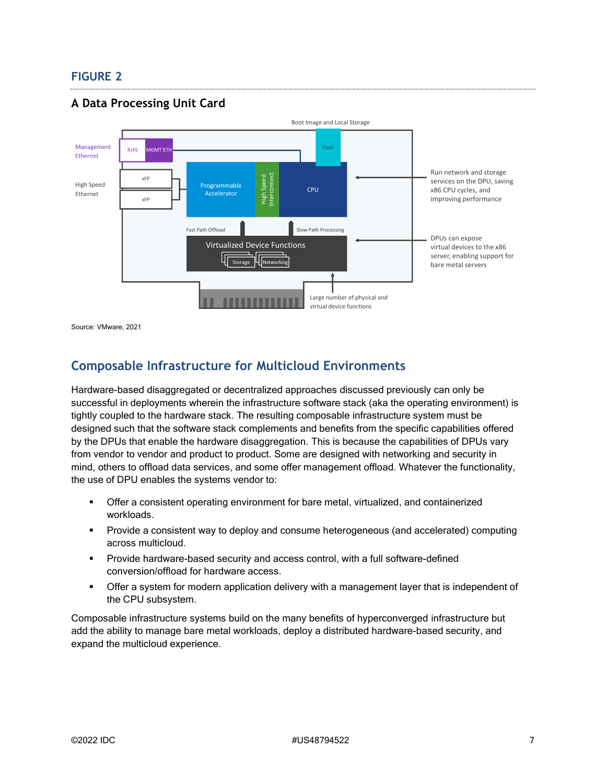#### **FIGURE 2**

### **A Data Processing Unit Card**



Source: VMware, 2021

### **Composable Infrastructure for Multicloud Environments**

Hardware-based disaggregated or decentralized approaches discussed previously can only be successful in deployments wherein the infrastructure software stack (aka the operating environment) is tightly coupled to the hardware stack. The resulting composable infrastructure system must be designed such that the software stack complements and benefits from the specific capabilities offered by the DPUs that enable the hardware disaggregation. This is because the capabilities of DPUs vary from vendor to vendor and product to product. Some are designed with networking and security in mind, others to offload data services, and some offer management offload. Whatever the functionality, the use of DPU enables the systems vendor to:

- Offer a consistent operating environment for bare metal, virtualized, and containerized workloads.
- Provide a consistent way to deploy and consume heterogeneous (and accelerated) computing across multicloud.
- Provide hardware-based security and access control, with a full software-defined conversion/offload for hardware access.
- **•** Offer a system for modern application delivery with a management layer that is independent of the CPU subsystem.

Composable infrastructure systems build on the many benefits of hyperconverged infrastructure but add the ability to manage bare metal workloads, deploy a distributed hardware-based security, and expand the multicloud experience.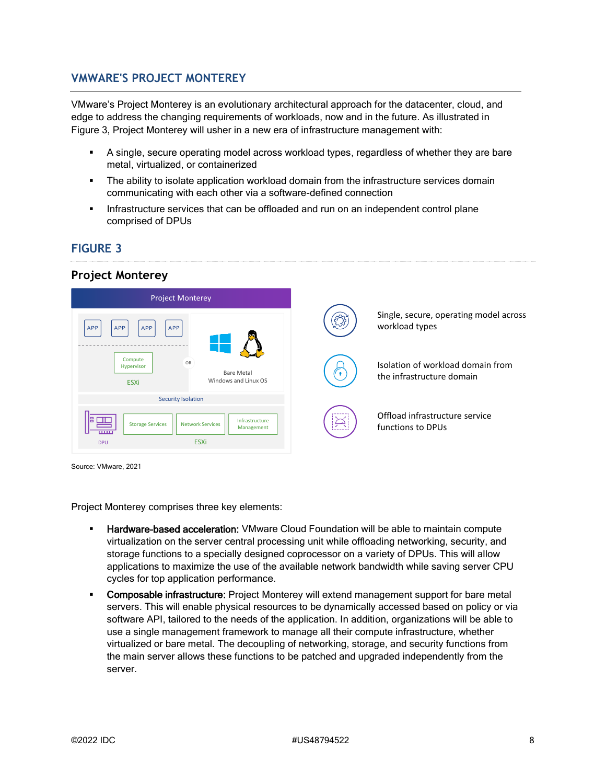#### **VMWARE'S PROJECT MONTEREY**

VMware's Project Monterey is an evolutionary architectural approach for the datacenter, cloud, and edge to address the changing requirements of workloads, now and in the future. As illustrated in Figure 3, Project Monterey will usher in a new era of infrastructure management with:

- **EXEC** A single, secure operating model across workload types, regardless of whether they are bare metal, virtualized, or containerized
- The ability to isolate application workload domain from the infrastructure services domain communicating with each other via a software-defined connection
- Infrastructure services that can be offloaded and run on an independent control plane comprised of DPUs

### **FIGURE 3**

#### **Project Monterey**



Source: VMware, 2021

Project Monterey comprises three key elements:

- **E** Hardware-based acceleration: VMware Cloud Foundation will be able to maintain compute virtualization on the server central processing unit while offloading networking, security, and storage functions to a specially designed coprocessor on a variety of DPUs. This will allow applications to maximize the use of the available network bandwidth while saving server CPU cycles for top application performance.
- **Composable infrastructure:** Project Monterey will extend management support for bare metal servers. This will enable physical resources to be dynamically accessed based on policy or via software API, tailored to the needs of the application. In addition, organizations will be able to use a single management framework to manage all their compute infrastructure, whether virtualized or bare metal. The decoupling of networking, storage, and security functions from the main server allows these functions to be patched and upgraded independently from the server.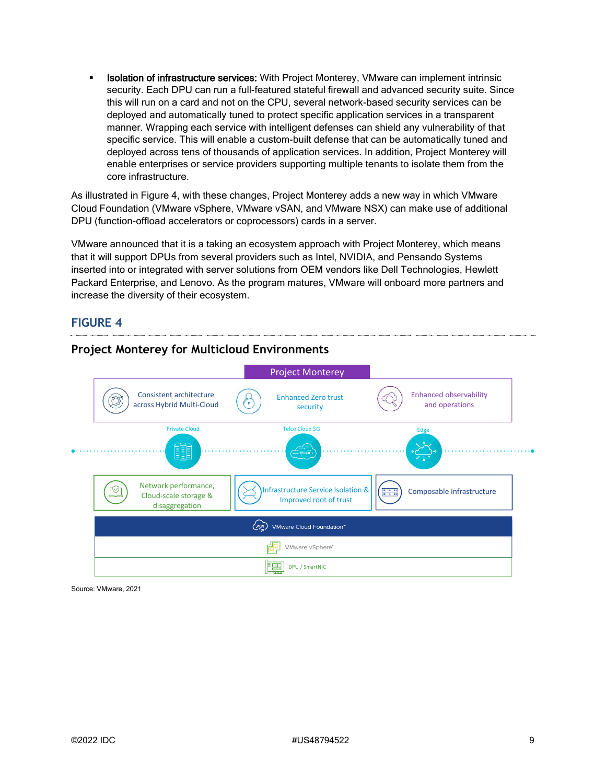**Isolation of infrastructure services:** With Project Monterey, VMware can implement intrinsic security. Each DPU can run a full-featured stateful firewall and advanced security suite. Since this will run on a card and not on the CPU, several network-based security services can be deployed and automatically tuned to protect specific application services in a transparent manner. Wrapping each service with intelligent defenses can shield any vulnerability of that specific service. This will enable a custom-built defense that can be automatically tuned and deployed across tens of thousands of application services. In addition, Project Monterey will enable enterprises or service providers supporting multiple tenants to isolate them from the core infrastructure.

As illustrated in Figure 4, with these changes, Project Monterey adds a new way in which VMware Cloud Foundation (VMware vSphere, VMware vSAN, and VMware NSX) can make use of additional DPU (function-offload accelerators or coprocessors) cards in a server.

VMware announced that it is a taking an ecosystem approach with Project Monterey, which means that it will support DPUs from several providers such as Intel, NVIDIA, and Pensando Systems inserted into or integrated with server solutions from OEM vendors like Dell Technologies, Hewlett Packard Enterprise, and Lenovo. As the program matures, VMware will onboard more partners and increase the diversity of their ecosystem.

#### **FIGURE 4**



#### **Project Monterey for Multicloud Environments**

Source: VMware, 2021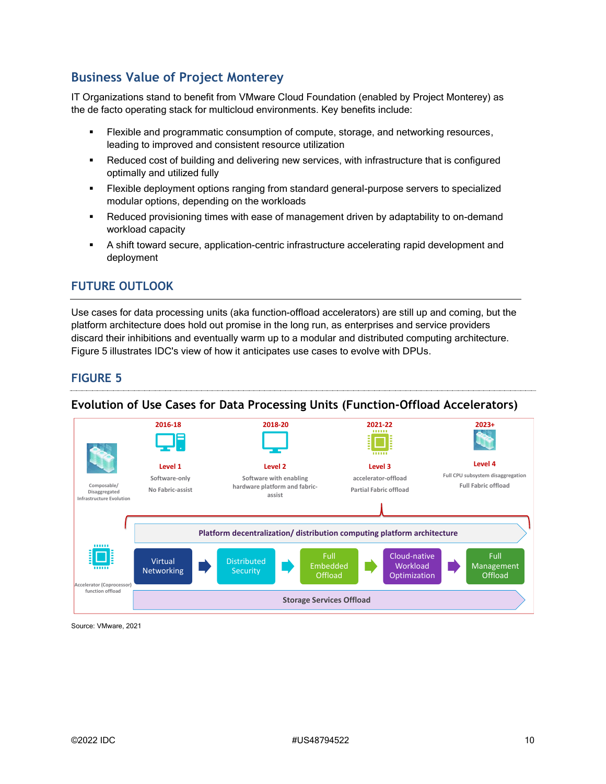# **Business Value of Project Monterey**

IT Organizations stand to benefit from VMware Cloud Foundation (enabled by Project Monterey) as the de facto operating stack for multicloud environments. Key benefits include:

- **EXIBLE 4.5 Flexible and programmatic consumption of compute, storage, and networking resources,** leading to improved and consistent resource utilization
- Reduced cost of building and delivering new services, with infrastructure that is configured optimally and utilized fully
- **•** Flexible deployment options ranging from standard general-purpose servers to specialized modular options, depending on the workloads
- Reduced provisioning times with ease of management driven by adaptability to on-demand workload capacity
- **•** A shift toward secure, application-centric infrastructure accelerating rapid development and deployment

#### **FUTURE OUTLOOK**

Use cases for data processing units (aka function-offload accelerators) are still up and coming, but the platform architecture does hold out promise in the long run, as enterprises and service providers discard their inhibitions and eventually warm up to a modular and distributed computing architecture. Figure 5 illustrates IDC's view of how it anticipates use cases to evolve with DPUs.

#### **FIGURE 5**

#### **Evolution of Use Cases for Data Processing Units (Function-Offload Accelerators)**



Source: VMware, 2021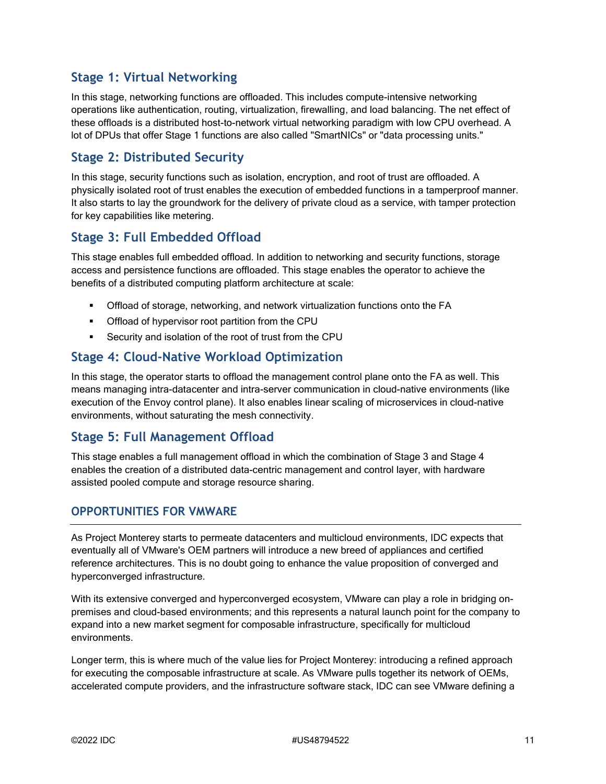# **Stage 1: Virtual Networking**

In this stage, networking functions are offloaded. This includes compute-intensive networking operations like authentication, routing, virtualization, firewalling, and load balancing. The net effect of these offloads is a distributed host-to-network virtual networking paradigm with low CPU overhead. A lot of DPUs that offer Stage 1 functions are also called "SmartNICs" or "data processing units."

### **Stage 2: Distributed Security**

In this stage, security functions such as isolation, encryption, and root of trust are offloaded. A physically isolated root of trust enables the execution of embedded functions in a tamperproof manner. It also starts to lay the groundwork for the delivery of private cloud as a service, with tamper protection for key capabilities like metering.

### **Stage 3: Full Embedded Offload**

This stage enables full embedded offload. In addition to networking and security functions, storage access and persistence functions are offloaded. This stage enables the operator to achieve the benefits of a distributed computing platform architecture at scale:

- Offload of storage, networking, and network virtualization functions onto the FA
- **•** Offload of hypervisor root partition from the CPU
- Security and isolation of the root of trust from the CPU

# **Stage 4: Cloud-Native Workload Optimization**

In this stage, the operator starts to offload the management control plane onto the FA as well. This means managing intra-datacenter and intra-server communication in cloud-native environments (like execution of the Envoy control plane). It also enables linear scaling of microservices in cloud-native environments, without saturating the mesh connectivity.

#### **Stage 5: Full Management Offload**

This stage enables a full management offload in which the combination of Stage 3 and Stage 4 enables the creation of a distributed data-centric management and control layer, with hardware assisted pooled compute and storage resource sharing.

#### **OPPORTUNITIES FOR VMWARE**

As Project Monterey starts to permeate datacenters and multicloud environments, IDC expects that eventually all of VMware's OEM partners will introduce a new breed of appliances and certified reference architectures. This is no doubt going to enhance the value proposition of converged and hyperconverged infrastructure.

With its extensive converged and hyperconverged ecosystem, VMware can play a role in bridging onpremises and cloud-based environments; and this represents a natural launch point for the company to expand into a new market segment for composable infrastructure, specifically for multicloud environments.

Longer term, this is where much of the value lies for Project Monterey: introducing a refined approach for executing the composable infrastructure at scale. As VMware pulls together its network of OEMs, accelerated compute providers, and the infrastructure software stack, IDC can see VMware defining a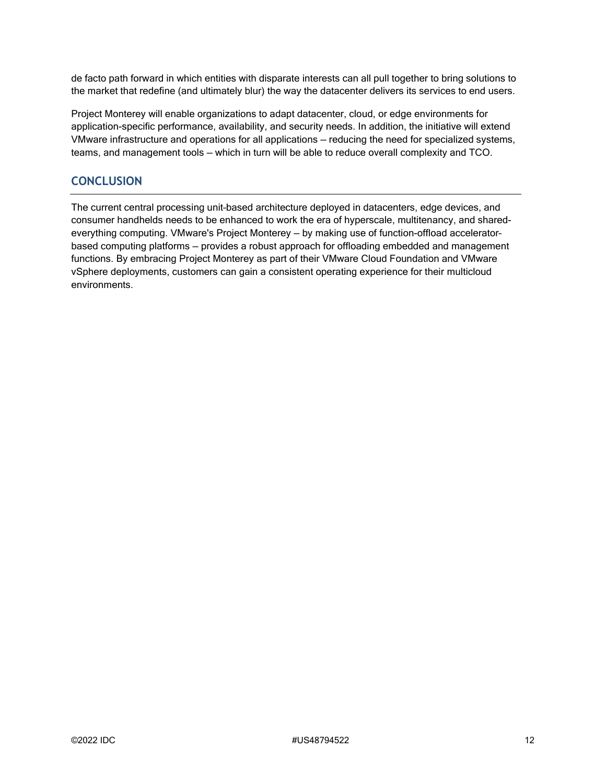de facto path forward in which entities with disparate interests can all pull together to bring solutions to the market that redefine (and ultimately blur) the way the datacenter delivers its services to end users.

Project Monterey will enable organizations to adapt datacenter, cloud, or edge environments for application-specific performance, availability, and security needs. In addition, the initiative will extend VMware infrastructure and operations for all applications — reducing the need for specialized systems, teams, and management tools — which in turn will be able to reduce overall complexity and TCO.

#### **CONCLUSION**

The current central processing unit–based architecture deployed in datacenters, edge devices, and consumer handhelds needs to be enhanced to work the era of hyperscale, multitenancy, and sharedeverything computing. VMware's Project Monterey — by making use of function-offload accelerator– based computing platforms — provides a robust approach for offloading embedded and management functions. By embracing Project Monterey as part of their VMware Cloud Foundation and VMware vSphere deployments, customers can gain a consistent operating experience for their multicloud environments.